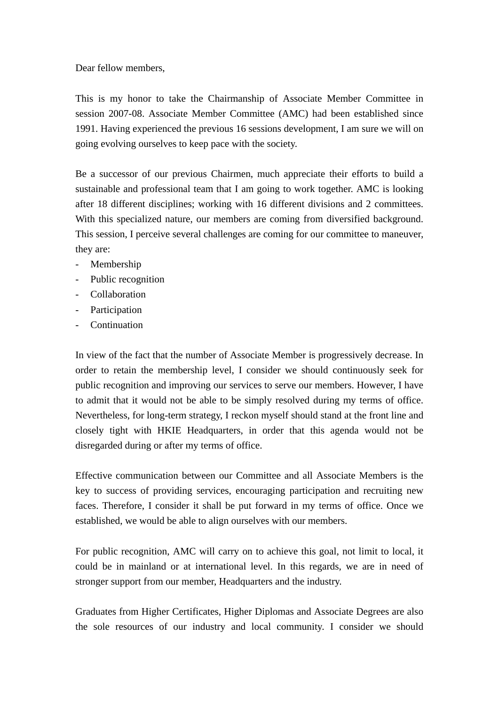Dear fellow members,

This is my honor to take the Chairmanship of Associate Member Committee in session 2007-08. Associate Member Committee (AMC) had been established since 1991. Having experienced the previous 16 sessions development, I am sure we will on going evolving ourselves to keep pace with the society.

Be a successor of our previous Chairmen, much appreciate their efforts to build a sustainable and professional team that I am going to work together. AMC is looking after 18 different disciplines; working with 16 different divisions and 2 committees. With this specialized nature, our members are coming from diversified background. This session, I perceive several challenges are coming for our committee to maneuver, they are:

- Membership
- Public recognition
- Collaboration
- Participation
- Continuation

In view of the fact that the number of Associate Member is progressively decrease. In order to retain the membership level, I consider we should continuously seek for public recognition and improving our services to serve our members. However, I have to admit that it would not be able to be simply resolved during my terms of office. Nevertheless, for long-term strategy, I reckon myself should stand at the front line and closely tight with HKIE Headquarters, in order that this agenda would not be disregarded during or after my terms of office.

Effective communication between our Committee and all Associate Members is the key to success of providing services, encouraging participation and recruiting new faces. Therefore, I consider it shall be put forward in my terms of office. Once we established, we would be able to align ourselves with our members.

For public recognition, AMC will carry on to achieve this goal, not limit to local, it could be in mainland or at international level. In this regards, we are in need of stronger support from our member, Headquarters and the industry.

Graduates from Higher Certificates, Higher Diplomas and Associate Degrees are also the sole resources of our industry and local community. I consider we should